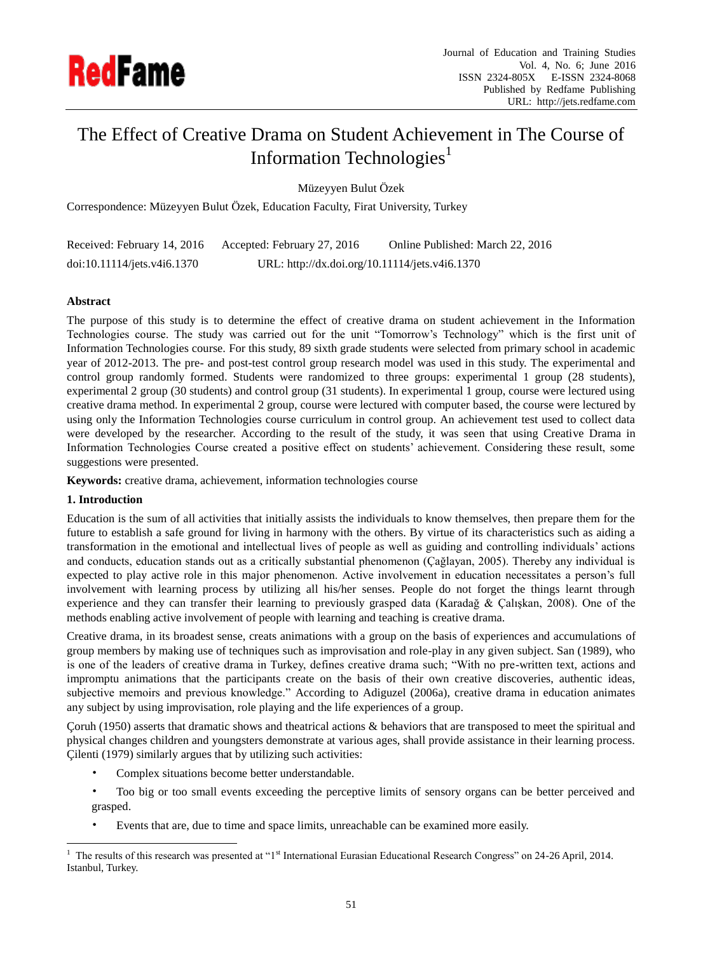

# The Effect of Creative Drama on Student Achievement in The Course of Information Technologies<sup>1</sup>

Müzeyyen Bulut Özek

Correspondence: Müzeyyen Bulut Özek, Education Faculty, Firat University, Turkey

| Received: February 14, 2016 | Accepted: February 27, 2016                    | Online Published: March 22, 2016 |
|-----------------------------|------------------------------------------------|----------------------------------|
| doi:10.11114/jets.v4i6.1370 | URL: http://dx.doi.org/10.11114/jets.v4i6.1370 |                                  |

### **Abstract**

The purpose of this study is to determine the effect of creative drama on student achievement in the Information Technologies course. The study was carried out for the unit "Tomorrow's Technology" which is the first unit of Information Technologies course. For this study, 89 sixth grade students were selected from primary school in academic year of 2012-2013. The pre- and post-test control group research model was used in this study. The experimental and control group randomly formed. Students were randomized to three groups: experimental 1 group (28 students), experimental 2 group (30 students) and control group (31 students). In experimental 1 group, course were lectured using creative drama method. In experimental 2 group, course were lectured with computer based, the course were lectured by using only the Information Technologies course curriculum in control group. An achievement test used to collect data were developed by the researcher. According to the result of the study, it was seen that using Creative Drama in Information Technologies Course created a positive effect on students' achievement. Considering these result, some suggestions were presented.

**Keywords:** creative drama, achievement, information technologies course

#### **1. Introduction**

-

Education is the sum of all activities that initially assists the individuals to know themselves, then prepare them for the future to establish a safe ground for living in harmony with the others. By virtue of its characteristics such as aiding a transformation in the emotional and intellectual lives of people as well as guiding and controlling individuals' actions and conducts, education stands out as a critically substantial phenomenon (Çağlayan, 2005). Thereby any individual is expected to play active role in this major phenomenon. Active involvement in education necessitates a person's full involvement with learning process by utilizing all his/her senses. People do not forget the things learnt through experience and they can transfer their learning to previously grasped data (Karadağ & Çalışkan, 2008). One of the methods enabling active involvement of people with learning and teaching is creative drama.

Creative drama, in its broadest sense, creats animations with a group on the basis of experiences and accumulations of group members by making use of techniques such as improvisation and role-play in any given subject. San (1989), who is one of the leaders of creative drama in Turkey, defines creative drama such; "With no pre-written text, actions and impromptu animations that the participants create on the basis of their own creative discoveries, authentic ideas, subjective memoirs and previous knowledge." According to Adiguzel (2006a), creative drama in education animates any subject by using improvisation, role playing and the life experiences of a group.

Çoruh (1950) asserts that dramatic shows and theatrical actions & behaviors that are transposed to meet the spiritual and physical changes children and youngsters demonstrate at various ages, shall provide assistance in their learning process. Çilenti (1979) similarly argues that by utilizing such activities:

- Complex situations become better understandable.
- Too big or too small events exceeding the perceptive limits of sensory organs can be better perceived and grasped.
- Events that are, due to time and space limits, unreachable can be examined more easily.

<sup>&</sup>lt;sup>1</sup> The results of this research was presented at "1<sup>st</sup> International Eurasian Educational Research Congress" on 24-26 April, 2014. Istanbul, Turkey.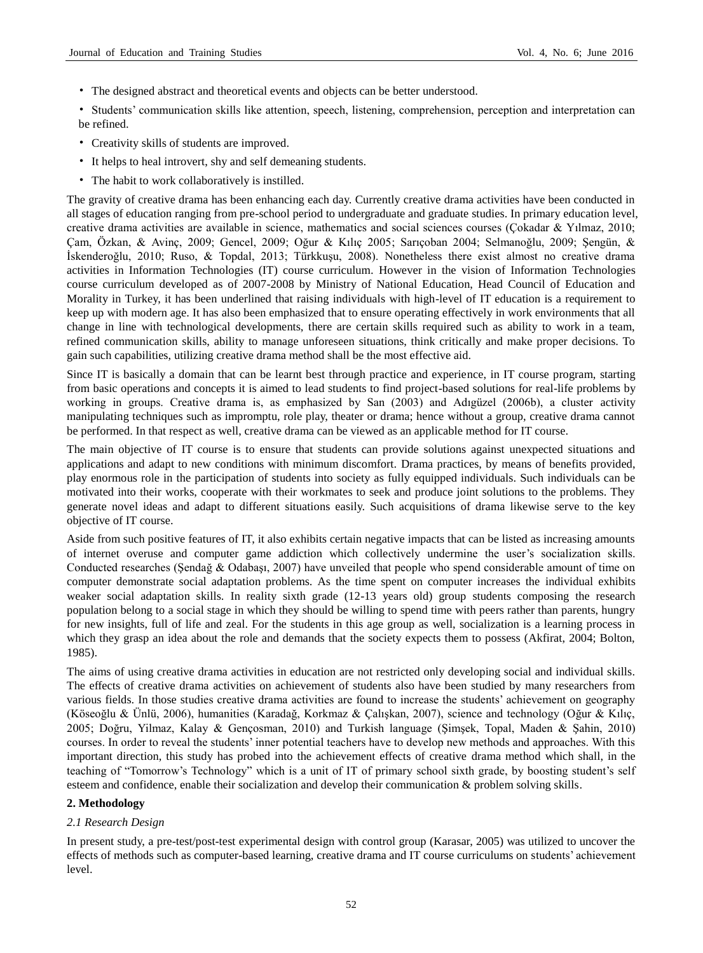- The designed abstract and theoretical events and objects can be better understood.
- Students' communication skills like attention, speech, listening, comprehension, perception and interpretation can be refined.
- Creativity skills of students are improved.
- It helps to heal introvert, shy and self demeaning students.
- The habit to work collaboratively is instilled.

The gravity of creative drama has been enhancing each day. Currently creative drama activities have been conducted in all stages of education ranging from pre-school period to undergraduate and graduate studies. In primary education level, creative drama activities are available in science, mathematics and social sciences courses (Çokadar & Yılmaz, 2010; Çam, Özkan, & Avinç, 2009; Gencel, 2009; Oğur & Kılıç 2005; Sarıçoban 2004; Selmanoğlu, 2009; Şengün, & İskenderoğlu, 2010; Ruso, & Topdal, 2013; Türkkuşu, 2008). Nonetheless there exist almost no creative drama activities in Information Technologies (IT) course curriculum. However in the vision of Information Technologies course curriculum developed as of 2007-2008 by Ministry of National Education, Head Council of Education and Morality in Turkey, it has been underlined that raising individuals with high-level of IT education is a requirement to keep up with modern age. It has also been emphasized that to ensure operating effectively in work environments that all change in line with technological developments, there are certain skills required such as ability to work in a team, refined communication skills, ability to manage unforeseen situations, think critically and make proper decisions. To gain such capabilities, utilizing creative drama method shall be the most effective aid.

Since IT is basically a domain that can be learnt best through practice and experience, in IT course program, starting from basic operations and concepts it is aimed to lead students to find project-based solutions for real-life problems by working in groups. Creative drama is, as emphasized by San (2003) and Adıgüzel (2006b), a cluster activity manipulating techniques such as impromptu, role play, theater or drama; hence without a group, creative drama cannot be performed. In that respect as well, creative drama can be viewed as an applicable method for IT course.

The main objective of IT course is to ensure that students can provide solutions against unexpected situations and applications and adapt to new conditions with minimum discomfort. Drama practices, by means of benefits provided, play enormous role in the participation of students into society as fully equipped individuals. Such individuals can be motivated into their works, cooperate with their workmates to seek and produce joint solutions to the problems. They generate novel ideas and adapt to different situations easily. Such acquisitions of drama likewise serve to the key objective of IT course.

Aside from such positive features of IT, it also exhibits certain negative impacts that can be listed as increasing amounts of internet overuse and computer game addiction which collectively undermine the user's socialization skills. Conducted researches (Şendağ & Odabaşı, 2007) have unveiled that people who spend considerable amount of time on computer demonstrate social adaptation problems. As the time spent on computer increases the individual exhibits weaker social adaptation skills. In reality sixth grade (12-13 years old) group students composing the research population belong to a social stage in which they should be willing to spend time with peers rather than parents, hungry for new insights, full of life and zeal. For the students in this age group as well, socialization is a learning process in which they grasp an idea about the role and demands that the society expects them to possess (Akfirat, 2004; Bolton, 1985).

The aims of using creative drama activities in education are not restricted only developing social and individual skills. The effects of creative drama activities on achievement of students also have been studied by many researchers from various fields. In those studies creative drama activities are found to increase the students' achievement on geography (Köseoğlu & Ünlü, 2006), humanities (Karadağ, Korkmaz & Çalışkan, 2007), science and technology (Oğur & Kılıç, 2005; Doğru, Yilmaz, Kalay & Gençosman, 2010) and Turkish language (Şimşek, Topal, Maden & Şahin, 2010) courses. In order to reveal the students' inner potential teachers have to develop new methods and approaches. With this important direction, this study has probed into the achievement effects of creative drama method which shall, in the teaching of "Tomorrow's Technology" which is a unit of IT of primary school sixth grade, by boosting student's self esteem and confidence, enable their socialization and develop their communication & problem solving skills.

## **2. Methodology**

#### *2.1 Research Design*

In present study, a pre-test/post-test experimental design with control group (Karasar, 2005) was utilized to uncover the effects of methods such as computer-based learning, creative drama and IT course curriculums on students' achievement level.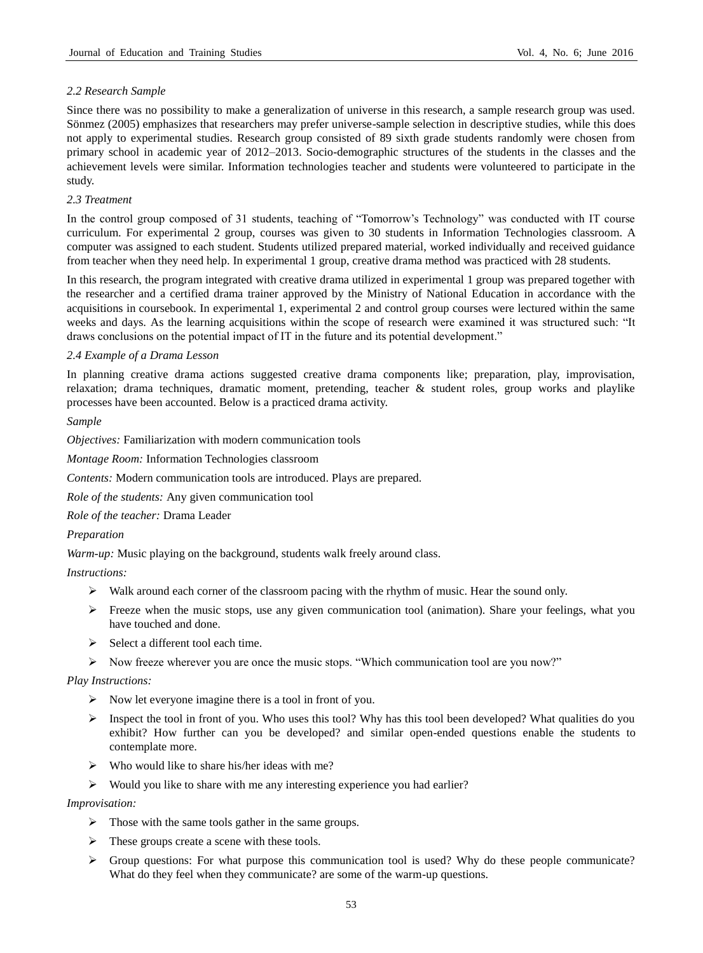#### *2.2 Research Sample*

Since there was no possibility to make a generalization of universe in this research, a sample research group was used. Sönmez (2005) emphasizes that researchers may prefer universe-sample selection in descriptive studies, while this does not apply to experimental studies. Research group consisted of 89 sixth grade students randomly were chosen from primary school in academic year of 2012–2013. Socio-demographic structures of the students in the classes and the achievement levels were similar. Information technologies teacher and students were volunteered to participate in the study.

#### *2.3 Treatment*

In the control group composed of 31 students, teaching of "Tomorrow's Technology" was conducted with IT course curriculum. For experimental 2 group, courses was given to 30 students in Information Technologies classroom. A computer was assigned to each student. Students utilized prepared material, worked individually and received guidance from teacher when they need help. In experimental 1 group, creative drama method was practiced with 28 students.

In this research, the program integrated with creative drama utilized in experimental 1 group was prepared together with the researcher and a certified drama trainer approved by the Ministry of National Education in accordance with the acquisitions in coursebook. In experimental 1, experimental 2 and control group courses were lectured within the same weeks and days. As the learning acquisitions within the scope of research were examined it was structured such: "It draws conclusions on the potential impact of IT in the future and its potential development."

#### *2.4 Example of a Drama Lesson*

In planning creative drama actions suggested creative drama components like; preparation, play, improvisation, relaxation; drama techniques, dramatic moment, pretending, teacher & student roles, group works and playlike processes have been accounted. Below is a practiced drama activity.

#### *Sample*

*Objectives:* Familiarization with modern communication tools

*Montage Room:* Information Technologies classroom

*Contents:* Modern communication tools are introduced. Plays are prepared.

*Role of the students:* Any given communication tool

*Role of the teacher:* Drama Leader

#### *Preparation*

*Warm-up:* Music playing on the background, students walk freely around class.

#### *Instructions:*

- $\triangleright$  Walk around each corner of the classroom pacing with the rhythm of music. Hear the sound only.
- $\triangleright$  Freeze when the music stops, use any given communication tool (animation). Share your feelings, what you have touched and done.
- $\triangleright$  Select a different tool each time.
- $\triangleright$  Now freeze wherever you are once the music stops. "Which communication tool are you now?"

#### *Play Instructions:*

- $\triangleright$  Now let everyone imagine there is a tool in front of you.
- $\triangleright$  Inspect the tool in front of you. Who uses this tool? Why has this tool been developed? What qualities do you exhibit? How further can you be developed? and similar open-ended questions enable the students to contemplate more.
- $\triangleright$  Who would like to share his/her ideas with me?
- $\triangleright$  Would you like to share with me any interesting experience you had earlier?

#### *Improvisation:*

- $\triangleright$  Those with the same tools gather in the same groups.
- $\triangleright$  These groups create a scene with these tools.
- $\triangleright$  Group questions: For what purpose this communication tool is used? Why do these people communicate? What do they feel when they communicate? are some of the warm-up questions.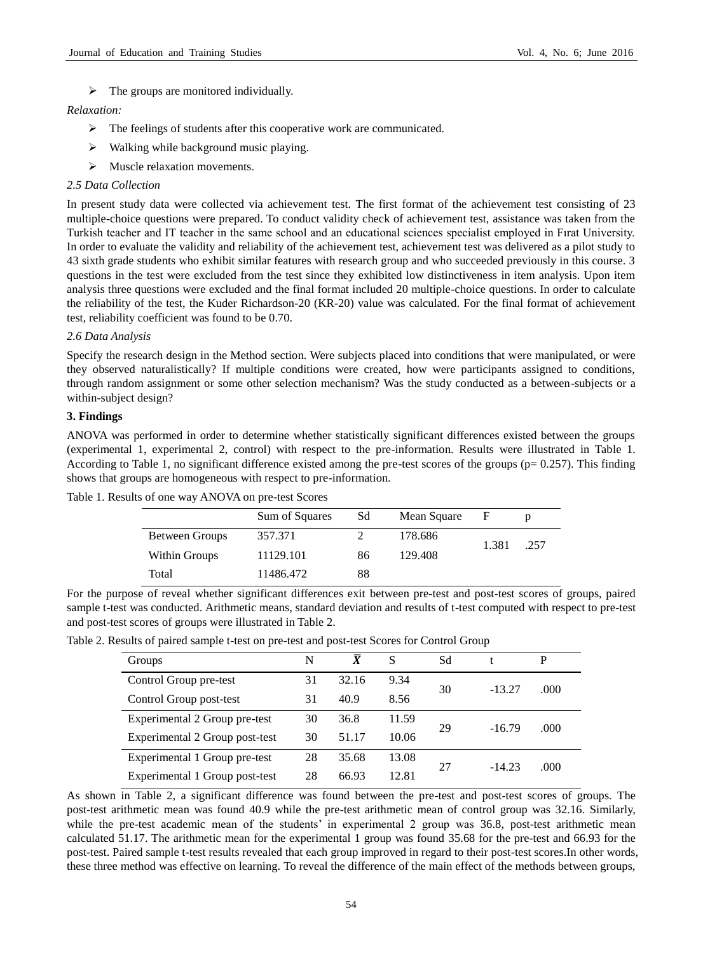$\triangleright$  The groups are monitored individually.

#### *Relaxation:*

- $\triangleright$  The feelings of students after this cooperative work are communicated.
- $\triangleright$  Walking while background music playing.
- > Muscle relaxation movements.

#### *2.5 Data Collection*

In present study data were collected via achievement test. The first format of the achievement test consisting of 23 multiple-choice questions were prepared. To conduct validity check of achievement test, assistance was taken from the Turkish teacher and IT teacher in the same school and an educational sciences specialist employed in Fırat University. In order to evaluate the validity and reliability of the achievement test, achievement test was delivered as a pilot study to 43 sixth grade students who exhibit similar features with research group and who succeeded previously in this course. 3 questions in the test were excluded from the test since they exhibited low distinctiveness in item analysis. Upon item analysis three questions were excluded and the final format included 20 multiple-choice questions. In order to calculate the reliability of the test, the Kuder Richardson-20 (KR-20) value was calculated. For the final format of achievement test, reliability coefficient was found to be 0.70.

#### *2.6 Data Analysis*

Specify the research design in the Method section. Were subjects placed into conditions that were manipulated, or were they observed naturalistically? If multiple conditions were created, how were participants assigned to conditions, through random assignment or some other selection mechanism? Was the study conducted as a between-subjects or a within-subject design?

#### **3. Findings**

ANOVA was performed in order to determine whether statistically significant differences existed between the groups (experimental 1, experimental 2, control) with respect to the pre-information. Results were illustrated in Table 1. According to Table 1, no significant difference existed among the pre-test scores of the groups ( $p= 0.257$ ). This finding shows that groups are homogeneous with respect to pre-information.

Table 1. Results of one way ANOVA on pre-test Scores

|                | Sum of Squares | Sd | Mean Square | F     |      |
|----------------|----------------|----|-------------|-------|------|
| Between Groups | 357.371        |    | 178.686     | 1.381 | .257 |
| Within Groups  | 11129.101      | 86 | 129.408     |       |      |
| Total          | 11486.472      | 88 |             |       |      |

For the purpose of reveal whether significant differences exit between pre-test and post-test scores of groups, paired sample t-test was conducted. Arithmetic means, standard deviation and results of t-test computed with respect to pre-test and post-test scores of groups were illustrated in Table 2.

| Groups                         | N  | X     | S     | Sd |          | P    |
|--------------------------------|----|-------|-------|----|----------|------|
| Control Group pre-test         | 31 | 32.16 | 9.34  | 30 |          | .000 |
| Control Group post-test        | 31 | 40.9  | 8.56  |    | $-13.27$ |      |
| Experimental 2 Group pre-test  | 30 | 36.8  | 11.59 | 29 | $-16.79$ | .000 |
| Experimental 2 Group post-test | 30 | 51.17 | 10.06 |    |          |      |
| Experimental 1 Group pre-test  | 28 | 35.68 | 13.08 | 27 | $-14.23$ | .000 |
| Experimental 1 Group post-test | 28 | 66.93 | 12.81 |    |          |      |

Table 2. Results of paired sample t-test on pre-test and post-test Scores for Control Group

As shown in Table 2, a significant difference was found between the pre-test and post-test scores of groups. The post-test arithmetic mean was found 40.9 while the pre-test arithmetic mean of control group was 32.16. Similarly, while the pre-test academic mean of the students' in experimental 2 group was 36.8, post-test arithmetic mean calculated 51.17. The arithmetic mean for the experimental 1 group was found 35.68 for the pre-test and 66.93 for the post-test. Paired sample t-test results revealed that each group improved in regard to their post-test scores.In other words, these three method was effective on learning. To reveal the difference of the main effect of the methods between groups,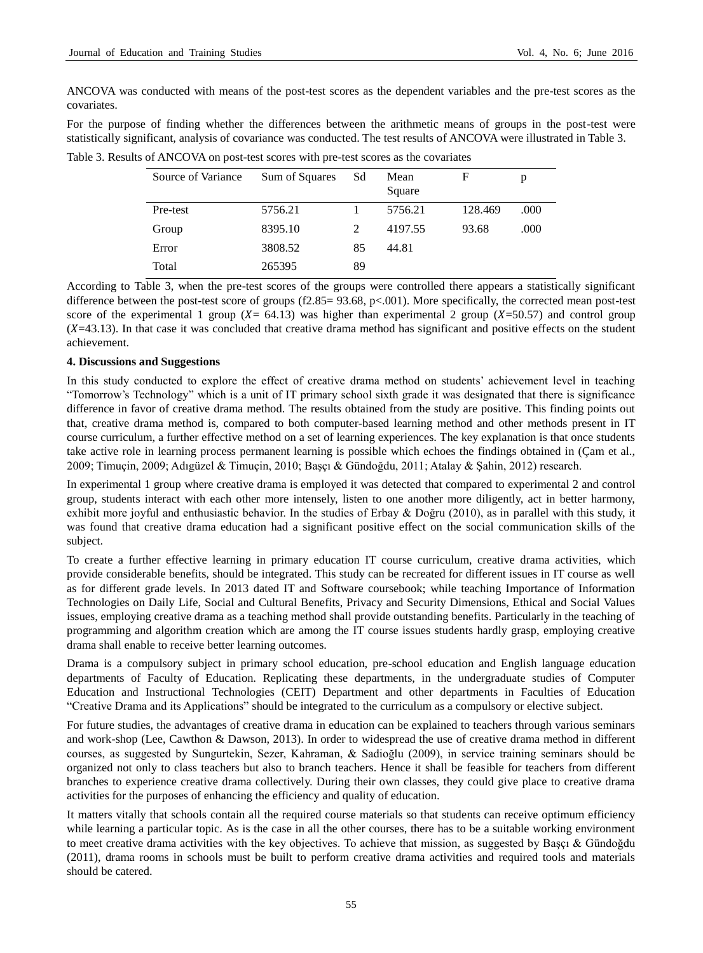ANCOVA was conducted with means of the post-test scores as the dependent variables and the pre-test scores as the covariates.

For the purpose of finding whether the differences between the arithmetic means of groups in the post-test were statistically significant, analysis of covariance was conducted. The test results of ANCOVA were illustrated in Table 3.

| Source of Variance | Sum of Squares | Sd | Mean<br>Square | F       | р    |
|--------------------|----------------|----|----------------|---------|------|
| Pre-test           | 5756.21        |    | 5756.21        | 128.469 | .000 |
| Group              | 8395.10        |    | 4197.55        | 93.68   | .000 |
| Error              | 3808.52        | 85 | 44.81          |         |      |
| Total              | 265395         | 89 |                |         |      |

Table 3. Results of ANCOVA on post-test scores with pre-test scores as the covariates

According to Table 3, when the pre-test scores of the groups were controlled there appears a statistically significant difference between the post-test score of groups (f2.85= 93.68, p<.001). More specifically, the corrected mean post-test score of the experimental 1 group ( $X = 64.13$ ) was higher than experimental 2 group ( $X=50.57$ ) and control group  $(X=43.13)$ . In that case it was concluded that creative drama method has significant and positive effects on the student achievement.

#### **4. Discussions and Suggestions**

In this study conducted to explore the effect of creative drama method on students' achievement level in teaching "Tomorrow's Technology" which is a unit of IT primary school sixth grade it was designated that there is significance difference in favor of creative drama method. The results obtained from the study are positive. This finding points out that, creative drama method is, compared to both computer-based learning method and other methods present in IT course curriculum, a further effective method on a set of learning experiences. The key explanation is that once students take active role in learning process permanent learning is possible which echoes the findings obtained in (Çam et al., 2009; Timuçin, 2009; Adıgüzel & Timuçin, 2010; Başçı & Gündoğdu, 2011; Atalay & Şahin, 2012) research.

In experimental 1 group where creative drama is employed it was detected that compared to experimental 2 and control group, students interact with each other more intensely, listen to one another more diligently, act in better harmony, exhibit more joyful and enthusiastic behavior. In the studies of Erbay & Doğru (2010), as in parallel with this study, it was found that creative drama education had a significant positive effect on the social communication skills of the subject.

To create a further effective learning in primary education IT course curriculum, creative drama activities, which provide considerable benefits, should be integrated. This study can be recreated for different issues in IT course as well as for different grade levels. In 2013 dated IT and Software coursebook; while teaching Importance of Information Technologies on Daily Life, Social and Cultural Benefits, Privacy and Security Dimensions, Ethical and Social Values issues, employing creative drama as a teaching method shall provide outstanding benefits. Particularly in the teaching of programming and algorithm creation which are among the IT course issues students hardly grasp, employing creative drama shall enable to receive better learning outcomes.

Drama is a compulsory subject in primary school education, pre-school education and English language education departments of Faculty of Education. Replicating these departments, in the undergraduate studies of Computer Education and Instructional Technologies (CEIT) Department and other departments in Faculties of Education "Creative Drama and its Applications" should be integrated to the curriculum as a compulsory or elective subject.

For future studies, the advantages of creative drama in education can be explained to teachers through various seminars and work-shop (Lee, Cawthon & Dawson, 2013). In order to widespread the use of creative drama method in different courses, as suggested by Sungurtekin, Sezer, Kahraman, & Sadioğlu (2009), in service training seminars should be organized not only to class teachers but also to branch teachers. Hence it shall be feasible for teachers from different branches to experience creative drama collectively. During their own classes, they could give place to creative drama activities for the purposes of enhancing the efficiency and quality of education.

It matters vitally that schools contain all the required course materials so that students can receive optimum efficiency while learning a particular topic. As is the case in all the other courses, there has to be a suitable working environment to meet creative drama activities with the key objectives. To achieve that mission, as suggested by Başçı & Gündoğdu (2011), drama rooms in schools must be built to perform creative drama activities and required tools and materials should be catered.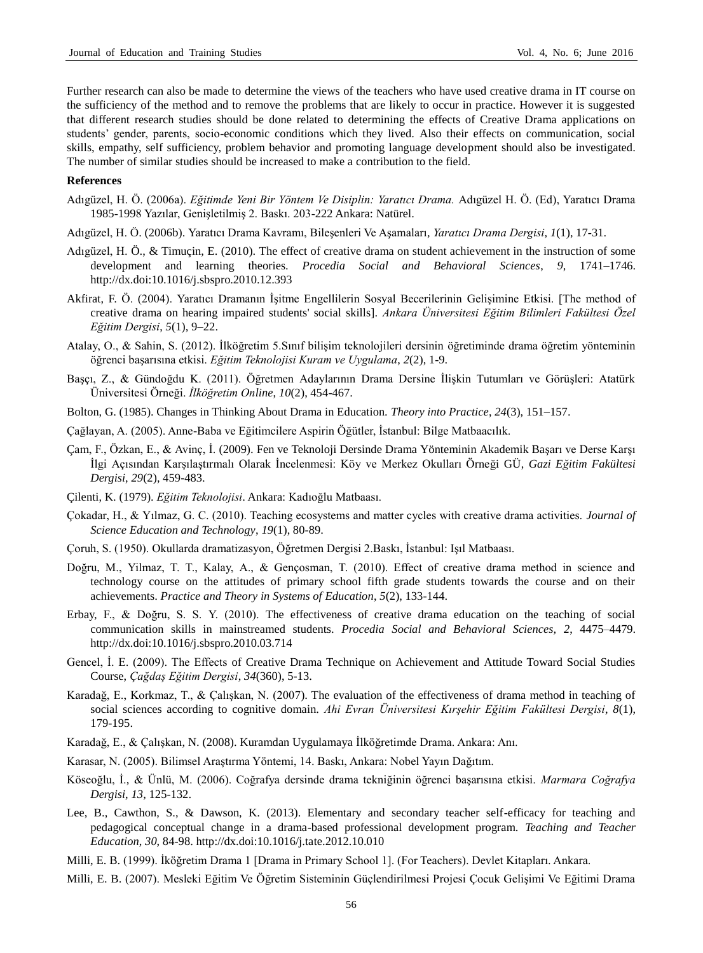Further research can also be made to determine the views of the teachers who have used creative drama in IT course on the sufficiency of the method and to remove the problems that are likely to occur in practice. However it is suggested that different research studies should be done related to determining the effects of Creative Drama applications on students' gender, parents, socio-economic conditions which they lived. Also their effects on communication, social skills, empathy, self sufficiency, problem behavior and promoting language development should also be investigated. The number of similar studies should be increased to make a contribution to the field.

#### **References**

- Adıgüzel, H. Ö. (2006a). *Eğitimde Yeni Bir Yöntem Ve Disiplin: Yaratıcı Drama.* Adıgüzel H. Ö. (Ed), Yaratıcı Drama 1985-1998 Yazılar, Genişletilmiş 2. Baskı. 203-222 Ankara: Natürel.
- Adıgüzel, H. Ö. (2006b). Yaratıcı Drama Kavramı, Bileşenleri Ve Aşamaları*, Yaratıcı Drama Dergisi*, *1*(1), 17-31.
- Adıgüzel, H. Ö., & Timuçin, E. (2010). The effect of creative drama on student achievement in the instruction of some development and learning theories. *Procedia Social and Behavioral Sciences*, *9*, 1741–1746. http://dx.doi:10.1016/j.sbspro.2010.12.393
- Akfirat, F. Ö. (2004). Yaratıcı Dramanın İşitme Engellilerin Sosyal Becerilerinin Gelişimine Etkisi. [The method of creative drama on hearing impaired students' social skills]. *Ankara Üniversitesi Eğitim Bilimleri Fakültesi Özel Eğitim Dergisi*, *5*(1), 9–22.
- Atalay, O., & Sahin, S. (2012). İlköğretim 5.Sınıf bilişim teknolojileri dersinin öğretiminde drama öğretim yönteminin öğrenci başarısına etkisi. *Eğitim Teknolojisi Kuram ve Uygulama*, *2*(2), 1-9.
- Başçı, Z., & Gündoğdu K. (2011). Öğretmen Adaylarının Drama Dersine İlişkin Tutumları ve Görüşleri: Atatürk Üniversitesi Örneği. *İlköğretim Online*, *10*(2), 454-467.
- Bolton, G. (1985). Changes in Thinking About Drama in Education. *Theory into Practice*, *24*(3), 151–157.
- Çağlayan, A. (2005). Anne-Baba ve Eğitimcilere Aspirin Öğütler, İstanbul: Bilge Matbaacılık.
- Çam, F., Özkan, E., & Avinç, İ. (2009). Fen ve Teknoloji Dersinde Drama Yönteminin Akademik Başarı ve Derse Karşı İlgi Açısından Karşılaştırmalı Olarak İncelenmesi: Köy ve Merkez Okulları Örneği GÜ, *Gazi Eğitim Fakültesi Dergisi*, *29*(2), 459-483.
- Çilenti, K. (1979). *Eğitim Teknolojisi*. Ankara: Kadıoğlu Matbaası.
- Çokadar, H., & Yılmaz, G. C. (2010). Teaching ecosystems and matter cycles with creative drama activities. *Journal of Science Education and Technology*, *19*(1), 80-89.
- Çoruh, S. (1950). Okullarda dramatizasyon, Öğretmen Dergisi 2.Baskı, İstanbul: Işıl Matbaası.
- Doğru, M., Yilmaz, T. T., Kalay, A., & Gençosman, T. (2010). Effect of creative drama method in science and technology course on the attitudes of primary school fifth grade students towards the course and on their achievements. *Practice and Theory in Systems of Education*, *5*(2), 133-144.
- Erbay, F., & Doğru, S. S. Y. (2010). The effectiveness of creative drama education on the teaching of social communication skills in mainstreamed students. *Procedia Social and Behavioral Sciences, 2*, 4475–4479. http://dx.doi:10.1016/j.sbspro.2010.03.714
- Gencel, İ. E. (2009). The Effects of Creative Drama Technique on Achievement and Attitude Toward Social Studies Course, *Çağdaş Eğitim Dergisi*, *34*(360), 5-13.
- Karadağ, E., Korkmaz, T., & Çalışkan, N. (2007). The evaluation of the effectiveness of drama method in teaching of social sciences according to cognitive domain. *Ahi Evran Üniversitesi Kırşehir Eğitim Fakültesi Dergisi*, *8*(1), 179-195.
- Karadağ, E., & Çalışkan, N. (2008). Kuramdan Uygulamaya İlköğretimde Drama. Ankara: Anı.
- Karasar, N. (2005). Bilimsel Araştırma Yöntemi, 14. Baskı, Ankara: Nobel Yayın Dağıtım.
- Köseoğlu, İ., & Ünlü, M. (2006). Coğrafya dersinde drama tekniğinin öğrenci başarısına etkisi. *Marmara Coğrafya Dergisi*, *13*, 125-132.
- Lee, B., Cawthon, S., & Dawson, K. (2013). Elementary and secondary teacher self-efficacy for teaching and pedagogical conceptual change in a drama-based professional development program. *Teaching and Teacher Education*, *30*, 84-98. http://dx.doi:10.1016/j.tate.2012.10.010
- Milli, E. B. (1999). İköğretim Drama 1 [Drama in Primary School 1]. (For Teachers). Devlet Kitapları. Ankara.
- Milli, E. B. (2007). Mesleki Eğitim Ve Öğretim Sisteminin Güçlendirilmesi Projesi Çocuk Gelişimi Ve Eğitimi Drama